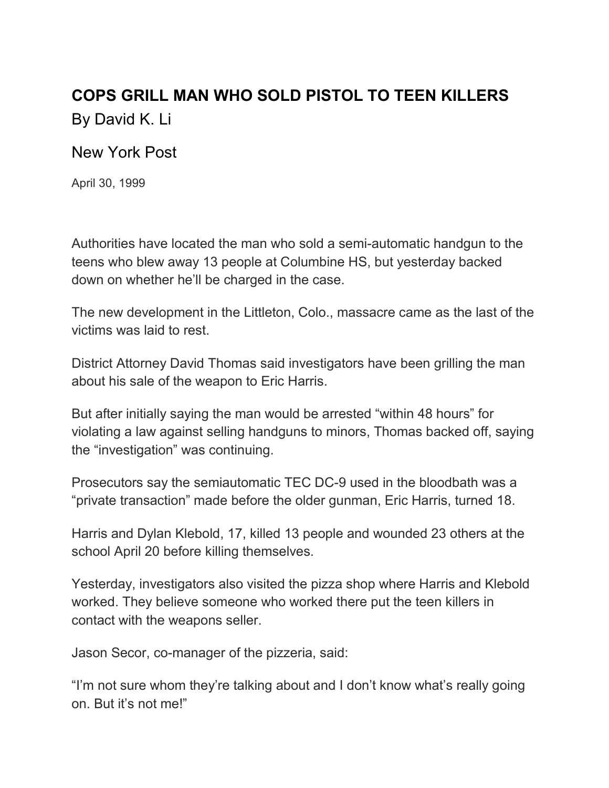## **[COPS GRILL MAN WHO SOLD PISTOL TO TEEN KILLERS](https://nypost.com/1999/04/30/cops-grill-man-who-sold-pistol-to-teen-killers/)** By [David K. Li](https://nypost.com/author/david-k-li/)

## New York Post

April 30, 1999

Authorities have located the man who sold a semi-automatic handgun to the teens who blew away 13 people at Columbine HS, but yesterday backed down on whether he'll be charged in the case.

The new development in the Littleton, Colo., massacre came as the last of the victims was laid to rest.

District Attorney David Thomas said investigators have been grilling the man about his sale of the weapon to Eric Harris.

But after initially saying the man would be arrested "within 48 hours" for violating a law against selling handguns to minors, Thomas backed off, saying the "investigation" was continuing.

Prosecutors say the semiautomatic TEC DC-9 used in the bloodbath was a "private transaction" made before the older gunman, Eric Harris, turned 18.

Harris and Dylan Klebold, 17, killed 13 people and wounded 23 others at the school April 20 before killing themselves.

Yesterday, investigators also visited the pizza shop where Harris and Klebold worked. They believe someone who worked there put the teen killers in contact with the weapons seller.

Jason Secor, co-manager of the pizzeria, said:

"I'm not sure whom they're talking about and I don't know what's really going on. But it's not me!"